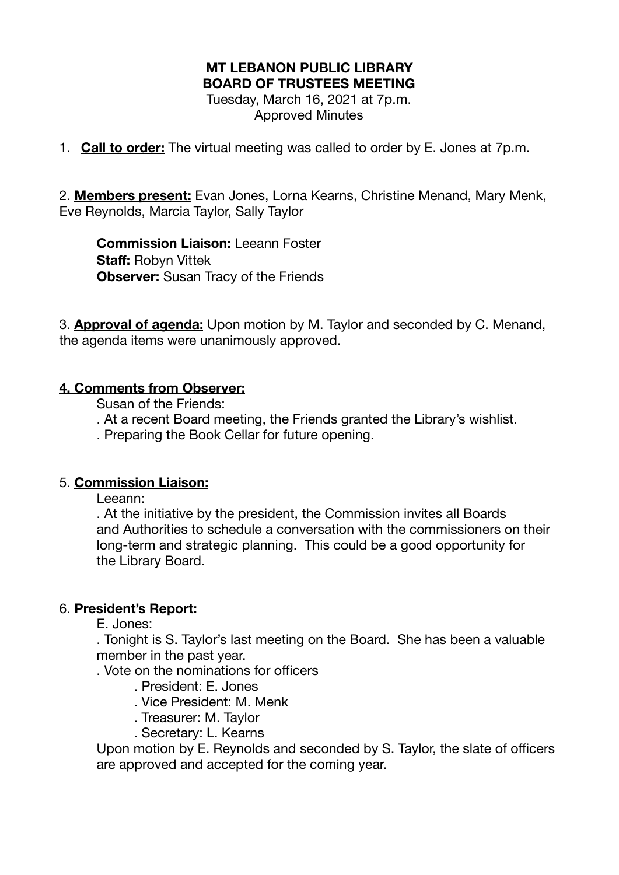# **MT LEBANON PUBLIC LIBRARY BOARD OF TRUSTEES MEETING**  Tuesday, March 16, 2021 at 7p.m.

Approved Minutes

1. **Call to order:** The virtual meeting was called to order by E. Jones at 7p.m.

2. **Members present:** Evan Jones, Lorna Kearns, Christine Menand, Mary Menk, Eve Reynolds, Marcia Taylor, Sally Taylor

**Commission Liaison:** Leeann Foster **Staff:** Robyn Vittek **Observer:** Susan Tracy of the Friends

3. **Approval of agenda:** Upon motion by M. Taylor and seconded by C. Menand, the agenda items were unanimously approved.

#### **4. Comments from Observer:**

Susan of the Friends:

- . At a recent Board meeting, the Friends granted the Library's wishlist.
- . Preparing the Book Cellar for future opening.

# 5. **Commission Liaison:**

Leeann:

. At the initiative by the president, the Commission invites all Boards and Authorities to schedule a conversation with the commissioners on their long-term and strategic planning. This could be a good opportunity for the Library Board.

# 6. **President's Report:**

E. Jones:

. Tonight is S. Taylor's last meeting on the Board. She has been a valuable member in the past year.

. Vote on the nominations for officers

- . President: E. Jones
- . Vice President: M. Menk
- . Treasurer: M. Taylor
- . Secretary: L. Kearns

Upon motion by E. Reynolds and seconded by S. Taylor, the slate of officers are approved and accepted for the coming year.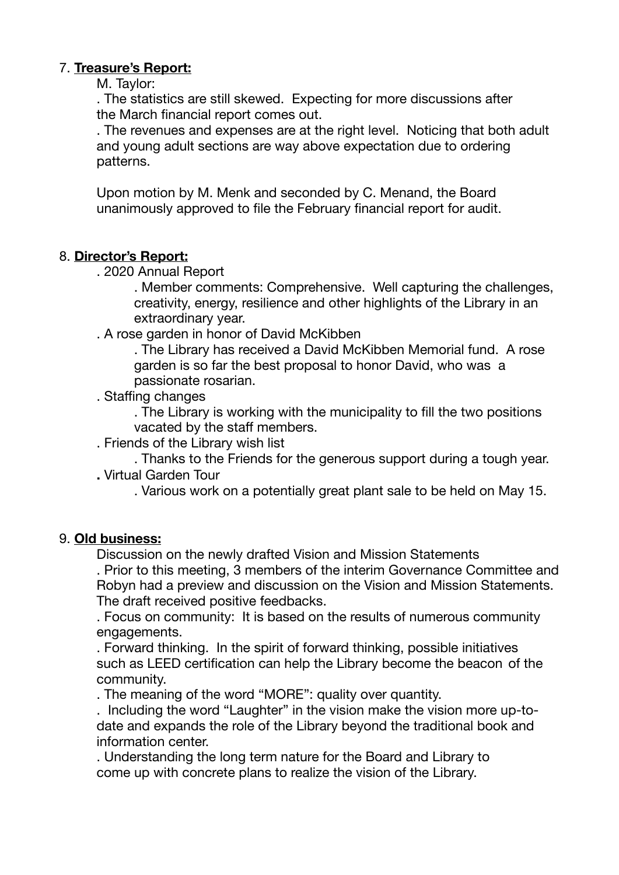# 7. **Treasure's Report:**

M. Taylor:

. The statistics are still skewed. Expecting for more discussions after the March financial report comes out.

. The revenues and expenses are at the right level. Noticing that both adult and young adult sections are way above expectation due to ordering patterns.

Upon motion by M. Menk and seconded by C. Menand, the Board unanimously approved to file the February financial report for audit.

# 8. **Director's Report:**

. 2020 Annual Report

 . Member comments: Comprehensive. Well capturing the challenges, creativity, energy, resilience and other highlights of the Library in an extraordinary year.

. A rose garden in honor of David McKibben

 . The Library has received a David McKibben Memorial fund. A rose garden is so far the best proposal to honor David, who was a passionate rosarian.

. Staffing changes

 . The Library is working with the municipality to fill the two positions vacated by the staff members.

. Friends of the Library wish list

 . Thanks to the Friends for the generous support during a tough year. **.** Virtual Garden Tour 

 . Various work on a potentially great plant sale to be held on May 15.

#### 9. **Old business:**

Discussion on the newly drafted Vision and Mission Statements 

. Prior to this meeting, 3 members of the interim Governance Committee and Robyn had a preview and discussion on the Vision and Mission Statements. The draft received positive feedbacks.

. Focus on community: It is based on the results of numerous community engagements.

. Forward thinking. In the spirit of forward thinking, possible initiatives such as LEED certification can help the Library become the beacon of the community.

. The meaning of the word "MORE": quality over quantity.

. Including the word "Laughter" in the vision make the vision more up-to date and expands the role of the Library beyond the traditional book and information center.

. Understanding the long term nature for the Board and Library to come up with concrete plans to realize the vision of the Library.